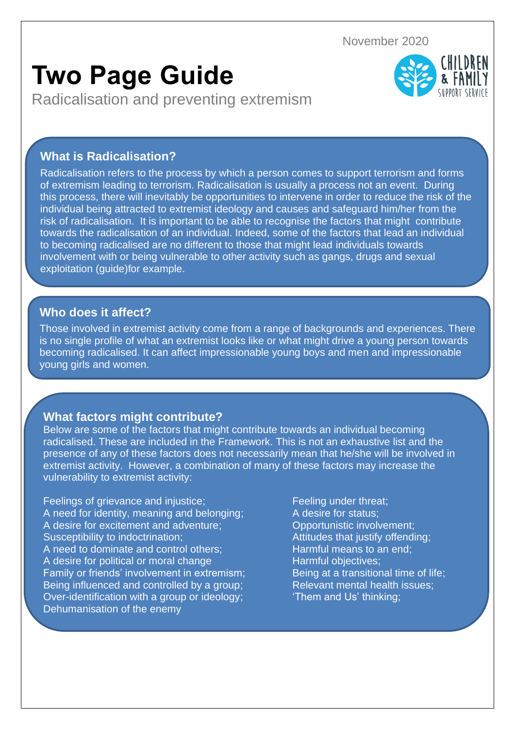November 2020

# **Two Page Guide**

Radicalisation and preventing extremism



## **What is Radicalisation?**

Radicalisation refers to the process by which a person comes to support terrorism and forms of extremism leading to terrorism. Radicalisation is usually a process not an event. During this process, there will inevitably be opportunities to intervene in order to reduce the risk of the individual being attracted to extremist ideology and causes and safeguard him/her from the risk of radicalisation. It is important to be able to recognise the factors that might contribute towards the radicalisation of an individual. Indeed, some of the factors that lead an individual to becoming radicalised are no different to those that might lead individuals towards involvement with or being vulnerable to other activity such as gangs, drugs and sexual exploitation (guide)for example.

## **Who does it affect?**

Those involved in extremist activity come from a range of backgrounds and experiences. There is no single profile of what an extremist looks like or what might drive a young person towards becoming radicalised. It can affect impressionable young boys and men and impressionable young girls and women.

## **What factors might contribute?**

Below are some of the factors that might contribute towards an individual becoming radicalised. These are included in the Framework. This is not an exhaustive list and the presence of any of these factors does not necessarily mean that he/she will be involved in extremist activity. However, a combination of many of these factors may increase the vulnerability to extremist activity:

Feelings of grievance and injustice; Feeling under threat; A need for identity, meaning and belonging; A desire for status; A desire for excitement and adventure; Deportunistic involvement; Susceptibility to indoctrination; Attitudes that justify offending; A need to dominate and control others: Harmful means to an end: A desire for political or moral change Harmful objectives; Family or friends' involvement in extremism; Being at a transitional time of life; Being influenced and controlled by a group; Relevant mental health issues; Over-identification with a group or ideology; "Them and Us' thinking; Dehumanisation of the enemy